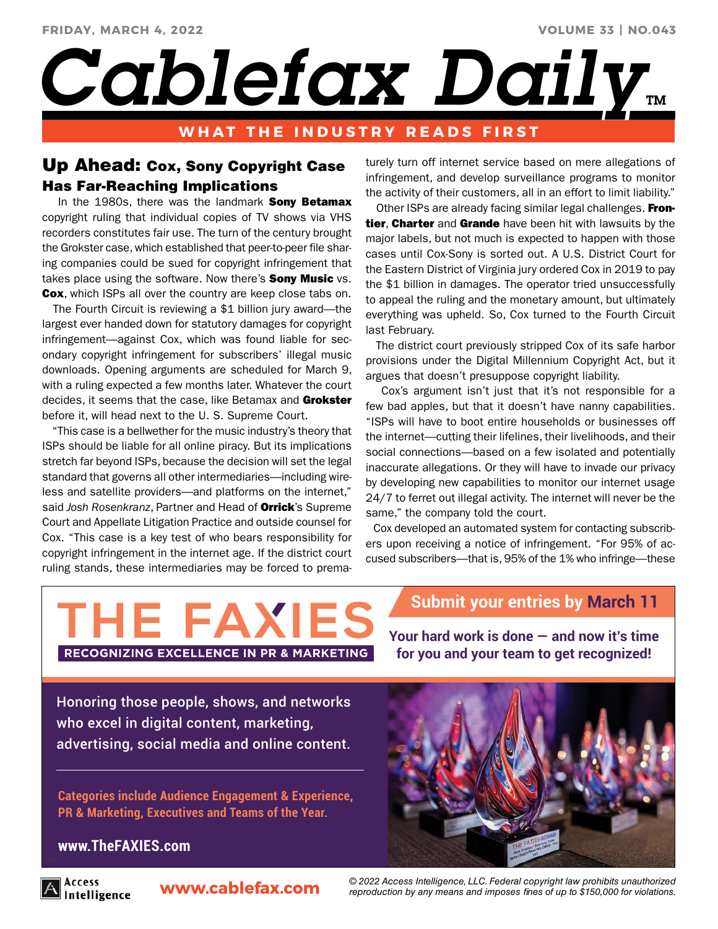**VOLUME 33 | NO.043**

Cablefax Daily.

# **WHAT THE INDUSTRY READS FIRST**

# Up Ahead: Cox, Sony Copyright Case Has Far-Reaching Implications

In the 1980s, there was the landmark **Sony Betamax** copyright ruling that individual copies of TV shows via VHS recorders constitutes fair use. The turn of the century brought the Grokster case, which established that peer-to-peer file sharing companies could be sued for copyright infringement that takes place using the software. Now there's **Sony Music** vs. Cox, which ISPs all over the country are keep close tabs on.

 The Fourth Circuit is reviewing a \$1 billion jury award—the largest ever handed down for statutory damages for copyright infringement—against Cox, which was found liable for secondary copyright infringement for subscribers' illegal music downloads. Opening arguments are scheduled for March 9, with a ruling expected a few months later. Whatever the court decides, it seems that the case, like Betamax and Grokster before it, will head next to the U. S. Supreme Court.

 "This case is a bellwether for the music industry's theory that ISPs should be liable for all online piracy. But its implications stretch far beyond ISPs, because the decision will set the legal standard that governs all other intermediaries—including wireless and satellite providers—and platforms on the internet," said *Josh Rosenkranz*, Partner and Head of Orrick's Supreme Court and Appellate Litigation Practice and outside counsel for Cox. "This case is a key test of who bears responsibility for copyright infringement in the internet age. If the district court ruling stands, these intermediaries may be forced to prematurely turn off internet service based on mere allegations of infringement, and develop surveillance programs to monitor the activity of their customers, all in an effort to limit liability."

Other ISPs are already facing similar legal challenges. Frontier, Charter and Grande have been hit with lawsuits by the major labels, but not much is expected to happen with those cases until Cox-Sony is sorted out. A U.S. District Court for the Eastern District of Virginia jury ordered Cox in 2019 to pay the \$1 billion in damages. The operator tried unsuccessfully to appeal the ruling and the monetary amount, but ultimately everything was upheld. So, Cox turned to the Fourth Circuit last February.

 The district court previously stripped Cox of its safe harbor provisions under the Digital Millennium Copyright Act, but it argues that doesn't presuppose copyright liability.

 Cox's argument isn't just that it's not responsible for a few bad apples, but that it doesn't have nanny capabilities. "ISPs will have to boot entire households or businesses off the internet—cutting their lifelines, their livelihoods, and their social connections—based on a few isolated and potentially inaccurate allegations. Or they will have to invade our privacy by developing new capabilities to monitor our internet usage 24/7 to ferret out illegal activity. The internet will never be the same," the company told the court.

 Cox developed an automated system for contacting subscribers upon receiving a notice of infringement. "For 95% of accused subscribers—that is, 95% of the 1% who infringe—these

# THE FAXIE.

# **Submit your entries by March 11**

RECOGNIZING EXCELLENCE IN PR & MARKETING

**Your hard work is done — and now it's time for you and your team to get recognized!**

[Honoring those people, shows, and networks](http://www.thefaxies.com/)  who excel in digital content, marketing, advertising, social media and online content.

**Categories include Audience Engagement & Experience, PR & Marketing, Executives and Teams of the Year.**

## **www.TheFAXIES.com**

Access Intelligence

**www.cablefax.com** *© 2022 Access Intelligence, LLC. Federal copyright law prohibits unauthorized reproduction by any means and imposes fines of up to \$150,000 for violations.*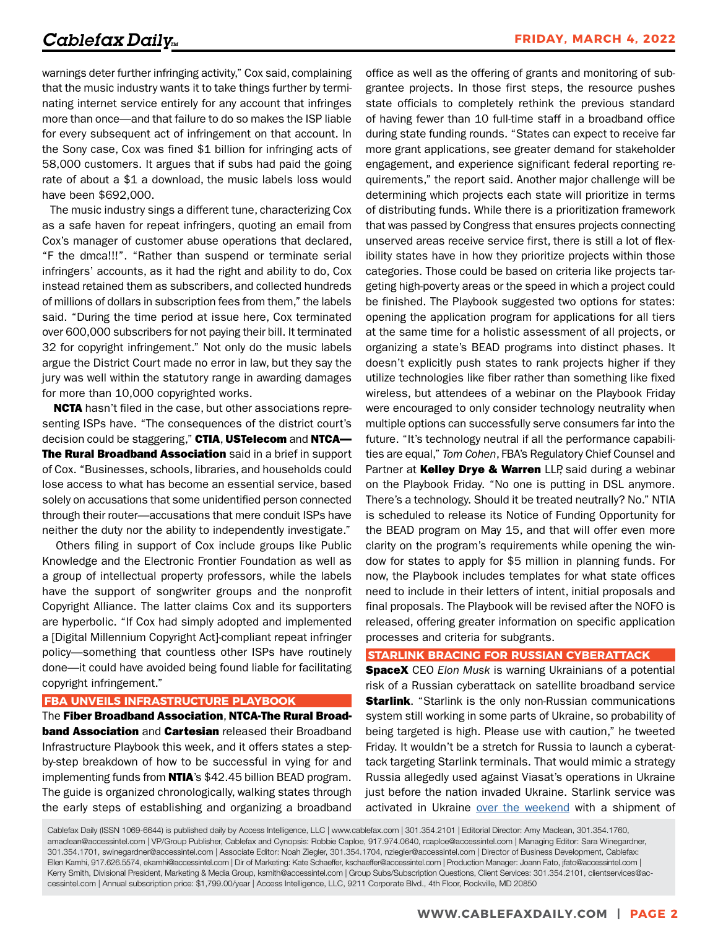warnings deter further infringing activity," Cox said, complaining that the music industry wants it to take things further by terminating internet service entirely for any account that infringes more than once—and that failure to do so makes the ISP liable for every subsequent act of infringement on that account. In the Sony case, Cox was fined \$1 billion for infringing acts of 58,000 customers. It argues that if subs had paid the going rate of about a \$1 a download, the music labels loss would have been \$692,000.

 The music industry sings a different tune, characterizing Cox as a safe haven for repeat infringers, quoting an email from Cox's manager of customer abuse operations that declared, "F the dmca!!!". "Rather than suspend or terminate serial infringers' accounts, as it had the right and ability to do, Cox instead retained them as subscribers, and collected hundreds of millions of dollars in subscription fees from them," the labels said. "During the time period at issue here, Cox terminated over 600,000 subscribers for not paying their bill. It terminated 32 for copyright infringement." Not only do the music labels argue the District Court made no error in law, but they say the jury was well within the statutory range in awarding damages for more than 10,000 copyrighted works.

**NCTA** hasn't filed in the case, but other associations representing ISPs have. "The consequences of the district court's decision could be staggering," CTIA, USTelecom and NTCA-**The Rural Broadband Association** said in a brief in support of Cox. "Businesses, schools, libraries, and households could lose access to what has become an essential service, based solely on accusations that some unidentified person connected through their router—accusations that mere conduit ISPs have neither the duty nor the ability to independently investigate."

 Others filing in support of Cox include groups like Public Knowledge and the Electronic Frontier Foundation as well as a group of intellectual property professors, while the labels have the support of songwriter groups and the nonprofit Copyright Alliance. The latter claims Cox and its supporters are hyperbolic. "If Cox had simply adopted and implemented a [Digital Millennium Copyright Act]-compliant repeat infringer policy—something that countless other ISPs have routinely done—it could have avoided being found liable for facilitating copyright infringement."

#### **FBA UNVEILS INFRASTRUCTURE PLAYBOOK**

The Fiber Broadband Association, NTCA-The Rural Broad**band Association** and **Cartesian** released their Broadband Infrastructure Playbook this week, and it offers states a stepby-step breakdown of how to be successful in vying for and implementing funds from **NTIA**'s \$42.45 billion BEAD program. The guide is organized chronologically, walking states through the early steps of establishing and organizing a broadband

office as well as the offering of grants and monitoring of subgrantee projects. In those first steps, the resource pushes state officials to completely rethink the previous standard of having fewer than 10 full-time staff in a broadband office during state funding rounds. "States can expect to receive far more grant applications, see greater demand for stakeholder engagement, and experience significant federal reporting requirements," the report said. Another major challenge will be determining which projects each state will prioritize in terms of distributing funds. While there is a prioritization framework that was passed by Congress that ensures projects connecting unserved areas receive service first, there is still a lot of flexibility states have in how they prioritize projects within those categories. Those could be based on criteria like projects targeting high-poverty areas or the speed in which a project could be finished. The Playbook suggested two options for states: opening the application program for applications for all tiers at the same time for a holistic assessment of all projects, or organizing a state's BEAD programs into distinct phases. It doesn't explicitly push states to rank projects higher if they utilize technologies like fiber rather than something like fixed wireless, but attendees of a webinar on the Playbook Friday were encouraged to only consider technology neutrality when multiple options can successfully serve consumers far into the future. "It's technology neutral if all the performance capabilities are equal," *Tom Cohen*, FBA's Regulatory Chief Counsel and Partner at Kelley Drye & Warren LLP, said during a webinar on the Playbook Friday. "No one is putting in DSL anymore. There's a technology. Should it be treated neutrally? No." NTIA is scheduled to release its Notice of Funding Opportunity for the BEAD program on May 15, and that will offer even more clarity on the program's requirements while opening the window for states to apply for \$5 million in planning funds. For now, the Playbook includes templates for what state offices need to include in their letters of intent, initial proposals and final proposals. The Playbook will be revised after the NOFO is released, offering greater information on specific application processes and criteria for subgrants.

#### **STARLINK BRACING FOR RUSSIAN CYBERATTACK**

SpaceX CEO *Elon Musk* is warning Ukrainians of a potential risk of a Russian cyberattack on satellite broadband service **Starlink**. "Starlink is the only non-Russian communications system still working in some parts of Ukraine, so probability of being targeted is high. Please use with caution," he tweeted Friday. It wouldn't be a stretch for Russia to launch a cyberattack targeting Starlink terminals. That would mimic a strategy Russia allegedly used against Viasat's operations in Ukraine just before the nation invaded Ukraine. Starlink service was activated in Ukraine [over the weekend](https://www.cablefax.com/distribution/russian-freeze-industry-takes-steps-to-assist-ukraine) with a shipment of

Cablefax Daily (ISSN 1069-6644) is published daily by Access Intelligence, LLC | www.cablefax.com | 301.354.2101 | Editorial Director: Amy Maclean, 301.354.1760, amaclean@accessintel.com | VP/Group Publisher, Cablefax and Cynopsis: Robbie Caploe, 917.974.0640, rcaploe@accessintel.com | Managing Editor: Sara Winegardner, 301.354.1701, swinegardner@accessintel.com | Associate Editor: Noah Ziegler, 301.354.1704, nziegler@accessintel.com | Director of Business Development, Cablefax: Ellen Kamhi, 917.626.5574, ekamhi@accessintel.com | Dir of Marketing: Kate Schaeffer, kschaeffer@accessintel.com | Production Manager: Joann Fato, jfato@accessintel.com | Kerry Smith, Divisional President, Marketing & Media Group, ksmith@accessintel.com | Group Subs/Subscription Questions, Client Services: 301.354.2101, clientservices@accessintel.com | Annual subscription price: \$1,799.00/year | Access Intelligence, LLC, 9211 Corporate Blvd., 4th Floor, Rockville, MD 20850